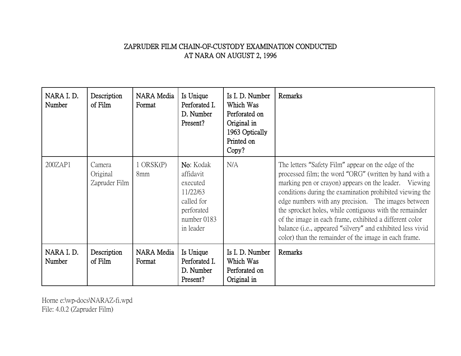## ZAPRUDER FILM CHAIN-OF-CUSTODY EXAMINATION CONDUCTED AT NARA ON AUGUST 2, 1996

| NARA I.D.<br>Number | Description<br>of Film              | NARA Media<br>Format | Is Unique<br>Perforated I.<br>D. Number<br>Present?                                                    | Is I. D. Number<br>Which Was<br>Perforated on<br>Original in<br>1963 Optically<br>Printed on<br>Copy? | Remarks                                                                                                                                                                                                                                                                                                                                                                                                                                                                                                                                         |
|---------------------|-------------------------------------|----------------------|--------------------------------------------------------------------------------------------------------|-------------------------------------------------------------------------------------------------------|-------------------------------------------------------------------------------------------------------------------------------------------------------------------------------------------------------------------------------------------------------------------------------------------------------------------------------------------------------------------------------------------------------------------------------------------------------------------------------------------------------------------------------------------------|
| 200ZAP1             | Camera<br>Original<br>Zapruder Film | $1$ ORSK(P)<br>8mm   | No: Kodak<br>affidavit<br>executed<br>11/22/63<br>called for<br>perforated<br>number 0183<br>in leader | N/A                                                                                                   | The letters "Safety Film" appear on the edge of the<br>processed film; the word "ORG" (written by hand with a<br>marking pen or crayon) appears on the leader. Viewing<br>conditions during the examination prohibited viewing the<br>edge numbers with any precision. The images between<br>the sprocket holes, while contiguous with the remainder<br>of the image in each frame, exhibited a different color<br>balance ( <i>i.e.</i> , appeared "silvery" and exhibited less vivid<br>color) than the remainder of the image in each frame. |
| NARA I.D.<br>Number | Description<br>of Film              | NARA Media<br>Format | Is Unique<br>Perforated I.<br>D. Number<br>Present?                                                    | Is I. D. Number<br>Which Was<br>Perforated on<br>Original in                                          | Remarks                                                                                                                                                                                                                                                                                                                                                                                                                                                                                                                                         |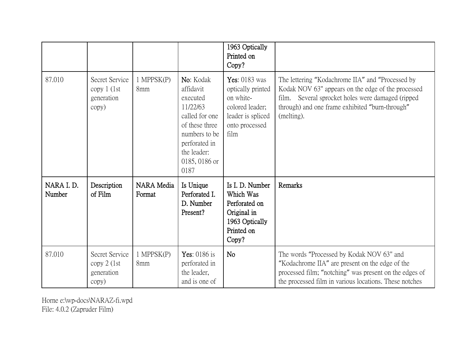|                     |                                                        |                        |                                                                                                                                                              | 1963 Optically<br>Printed on<br>Copy?                                                                                    |                                                                                                                                                                                                                              |
|---------------------|--------------------------------------------------------|------------------------|--------------------------------------------------------------------------------------------------------------------------------------------------------------|--------------------------------------------------------------------------------------------------------------------------|------------------------------------------------------------------------------------------------------------------------------------------------------------------------------------------------------------------------------|
| 87.010              | Secret Service<br>copy $1$ (1st<br>generation<br>copy) | 1 MPPSK(P)<br>8mm      | No: Kodak<br>affidavit<br>executed<br>11/22/63<br>called for one<br>of these three<br>numbers to be<br>perforated in<br>the leader:<br>0185, 0186 or<br>0187 | <b>Yes: 0183 was</b><br>optically printed<br>on white-<br>colored leader;<br>leader is spliced<br>onto processed<br>film | The lettering "Kodachrome IIA" and "Processed by<br>Kodak NOV 63" appears on the edge of the processed<br>film. Several sprocket holes were damaged (ripped<br>through) and one frame exhibited "burn-through"<br>(melting). |
| NARA I.D.<br>Number | Description<br>of Film                                 | NARA Media<br>Format   | Is Unique<br>Perforated I.<br>D. Number<br>Present?                                                                                                          | Is I. D. Number<br>Which Was<br>Perforated on<br>Original in<br>1963 Optically<br>Printed on<br>Copy?                    | Remarks                                                                                                                                                                                                                      |
| 87.010              | Secret Service<br>$copy 2$ (1st<br>generation<br>copy) | $1$ MPPS $K(P)$<br>8mm | Yes: $0186$ is<br>perforated in<br>the leader,<br>and is one of                                                                                              | <b>No</b>                                                                                                                | The words "Processed by Kodak NOV 63" and<br>"Kodachrome IIA" are present on the edge of the<br>processed film; "notching" was present on the edges of<br>the processed film in various locations. These notches             |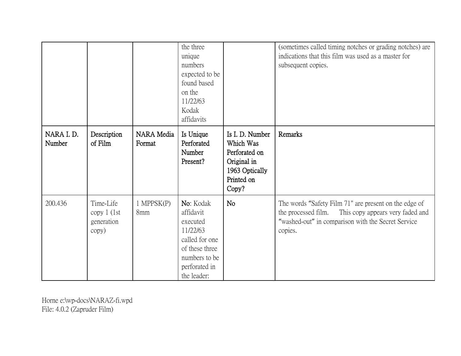|                     |                                                   |                      | the three<br>unique<br>numbers<br>expected to be<br>found based<br>on the<br>11/22/63<br>Kodak<br>affidavits                        |                                                                                                       | (sometimes called timing notches or grading notches) are<br>indications that this film was used as a master for<br>subsequent copies.                                             |
|---------------------|---------------------------------------------------|----------------------|-------------------------------------------------------------------------------------------------------------------------------------|-------------------------------------------------------------------------------------------------------|-----------------------------------------------------------------------------------------------------------------------------------------------------------------------------------|
| NARA I.D.<br>Number | Description<br>of Film                            | NARA Media<br>Format | Is Unique<br>Perforated<br>Number<br>Present?                                                                                       | Is I. D. Number<br>Which Was<br>Perforated on<br>Original in<br>1963 Optically<br>Printed on<br>Copy? | Remarks                                                                                                                                                                           |
| 200.436             | Time-Life<br>copy $1$ (1st<br>generation<br>copy) | 1 MPPSK(P)<br>8mm    | No: Kodak<br>affidavit<br>executed<br>11/22/63<br>called for one<br>of these three<br>numbers to be<br>perforated in<br>the leader: | N <sub>o</sub>                                                                                        | The words "Safety Film 71" are present on the edge of<br>the processed film.<br>This copy appears very faded and<br>"washed-out" in comparison with the Secret Service<br>copies. |